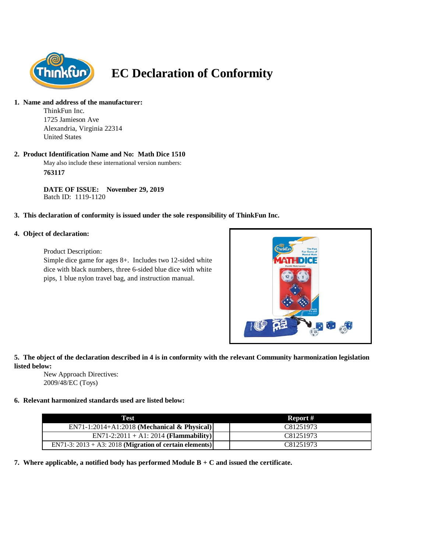

# **EC Declaration of Conformity**

#### **1. Name and address of the manufacturer:**

ThinkFun Inc. 1725 Jamieson Ave Alexandria, Virginia 22314 United States

## **2. Product Identification Name and No: Math Dice 1510**

May also include these international version numbers: **763117**

**DATE OF ISSUE: November 29, 2019** Batch ID: 1119-1120

## **3. This declaration of conformity is issued under the sole responsibility of ThinkFun Inc.**

## **4. Object of declaration:**

Product Description:

Simple dice game for ages 8+. Includes two 12-sided white dice with black numbers, three 6-sided blue dice with white pips, 1 blue nylon travel bag, and instruction manual.



## **5. The object of the declaration described in 4 is in conformity with the relevant Community harmonization legislation listed below:**

New Approach Directives: 2009/48/EC (Toys)

## **6. Relevant harmonized standards used are listed below:**

| Test                                                       | Report #  |
|------------------------------------------------------------|-----------|
| $EN71-1:2014+A1:2018$ (Mechanical & Physical)              | C81251973 |
| $EN71-2:2011 + A1:2014 (Flammablity)$                      | C81251973 |
| EN71-3: $2013 + A3$ : 2018 (Migration of certain elements) | C81251973 |

**7. Where applicable, a notified body has performed Module B + C and issued the certificate.**